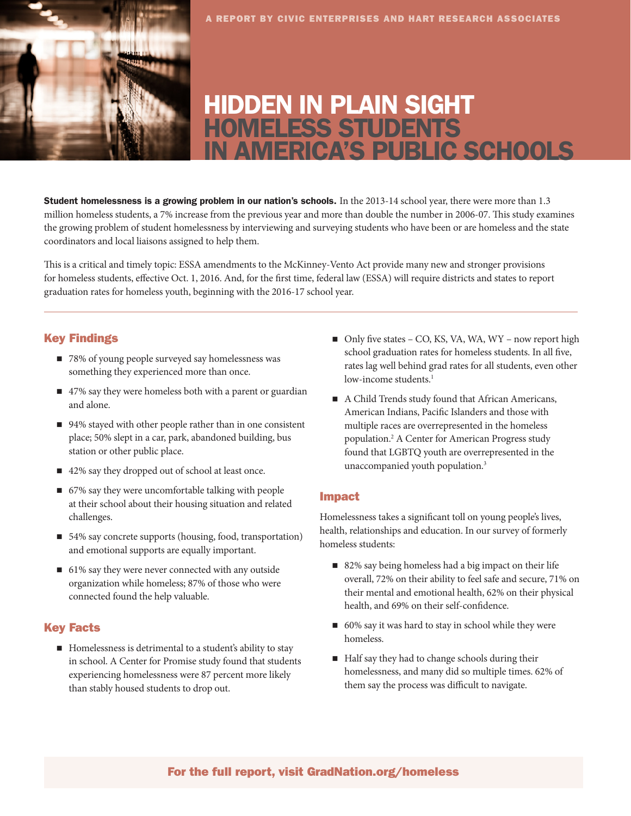

# HIDDEN IN PLAIN SIGHT HOMELESS STUDENTS IN AMERICA'S PUBLIC SCHOOLS

Student homelessness is a growing problem in our nation's schools. In the 2013-14 school year, there were more than 1.3 million homeless students, a 7% increase from the previous year and more than double the number in 2006-07. This study examines the growing problem of student homelessness by interviewing and surveying students who have been or are homeless and the state coordinators and local liaisons assigned to help them.

This is a critical and timely topic: ESSA amendments to the McKinney-Vento Act provide many new and stronger provisions for homeless students, effective Oct. 1, 2016. And, for the first time, federal law (ESSA) will require districts and states to report graduation rates for homeless youth, beginning with the 2016-17 school year.

## Key Findings

- 78% of young people surveyed say homelessness was something they experienced more than once.
- 47% say they were homeless both with a parent or guardian and alone.
- 94% stayed with other people rather than in one consistent place; 50% slept in a car, park, abandoned building, bus station or other public place.
- 42% say they dropped out of school at least once.
- 67% say they were uncomfortable talking with people at their school about their housing situation and related challenges.
- 54% say concrete supports (housing, food, transportation) and emotional supports are equally important.
- 61% say they were never connected with any outside organization while homeless; 87% of those who were connected found the help valuable.

## Key Facts

■ Homelessness is detrimental to a student's ability to stay in school. A [Center for Promise study](https://www.gradnation.org/report/dont-call-them-dropouts) found that students experiencing homelessness were 87 percent more likely than stably housed students to drop out.

- $\blacksquare$  Only five states CO, KS, VA, WA, WY now report high school graduation rates for homeless students. In all five, rates lag well behind grad rates for all students, even other low-income students.<sup>1</sup>
- A Child Trends study found that African Americans, American Indians, Pacific Islanders and those with multiple races are overrepresented in the homeless population.2 A Center for American Progress study found that LGBTQ youth are overrepresented in the unaccompanied youth population.3

## Impact

Homelessness takes a significant toll on young people's lives, health, relationships and education. In our survey of formerly homeless students:

- $\blacksquare$  82% say being homeless had a big impact on their life overall, 72% on their ability to feel safe and secure, 71% on their mental and emotional health, 62% on their physical health, and 69% on their self-confidence.
- 60% say it was hard to stay in school while they were homeless.
- Half say they had to change schools during their homelessness, and many did so multiple times. 62% of them say the process was difficult to navigate.